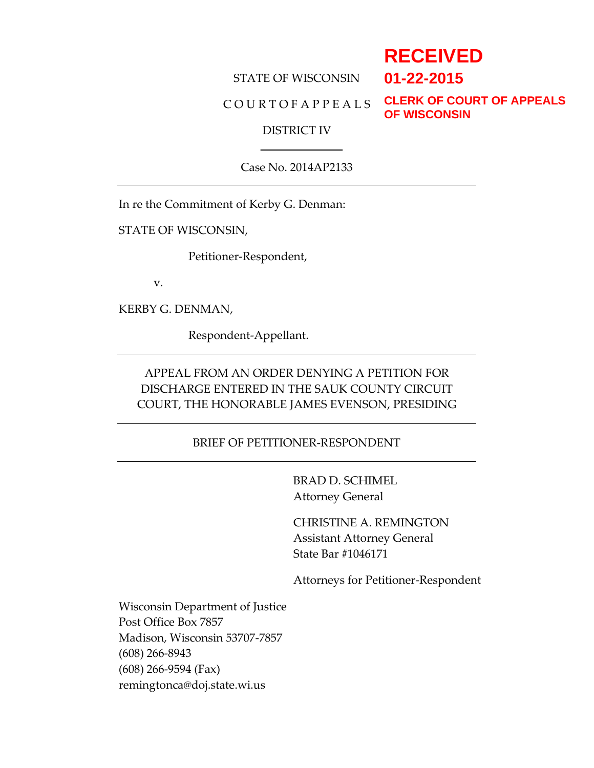# **RECEIVED 01-22-2015**

# STATE OF WISCONSIN

### C O U R T O F A P P E A L S

**CLERK OF COURT OF APPEALS OF WISCONSIN**

#### DISTRICT IV

Case No. 2014AP2133

In re the Commitment of Kerby G. Denman:

STATE OF WISCONSIN,

Petitioner-Respondent,

v.

KERBY G. DENMAN,

Respondent-Appellant.

# APPEAL FROM AN ORDER DENYING A PETITION FOR DISCHARGE ENTERED IN THE SAUK COUNTY CIRCUIT COURT, THE HONORABLE JAMES EVENSON, PRESIDING

### BRIEF OF PETITIONER-RESPONDENT

BRAD D. SCHIMEL Attorney General

CHRISTINE A. REMINGTON Assistant Attorney General State Bar #1046171

Attorneys for Petitioner-Respondent

Wisconsin Department of Justice Post Office Box 7857 Madison, Wisconsin 53707-7857 (608) 266-8943 (608) 266-9594 (Fax) remingtonca@doj.state.wi.us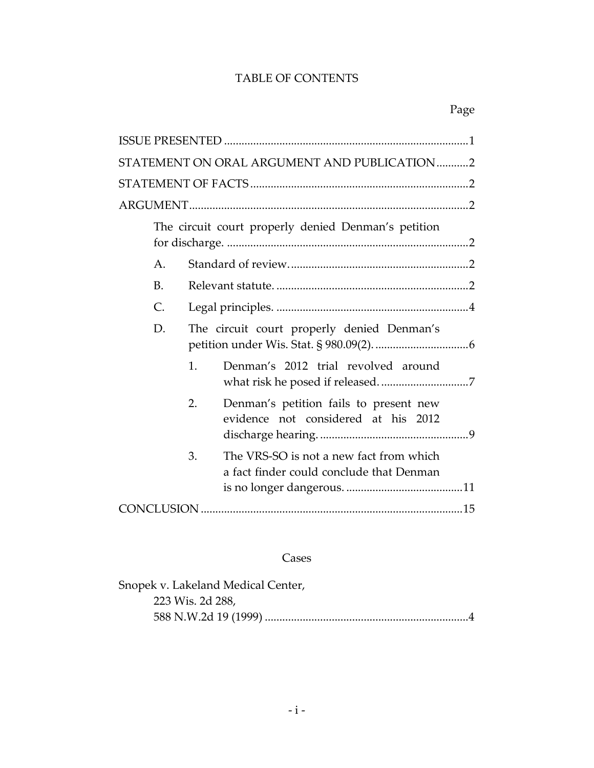# TABLE OF CONTENTS

| STATEMENT ON ORAL ARGUMENT AND PUBLICATION2                                               |  |
|-------------------------------------------------------------------------------------------|--|
|                                                                                           |  |
|                                                                                           |  |
| The circuit court properly denied Denman's petition                                       |  |
| $A$ .                                                                                     |  |
| <b>B.</b>                                                                                 |  |
| $\mathsf{C}$ .                                                                            |  |
| The circuit court properly denied Denman's<br>D.                                          |  |
| Denman's 2012 trial revolved around<br>1.                                                 |  |
| 2.<br>Denman's petition fails to present new<br>evidence not considered at his 2012       |  |
| The VRS-SO is not a new fact from which<br>3.<br>a fact finder could conclude that Denman |  |
|                                                                                           |  |

# Cases

| Snopek v. Lakeland Medical Center, |  |
|------------------------------------|--|
| 223 Wis. 2d 288,                   |  |
|                                    |  |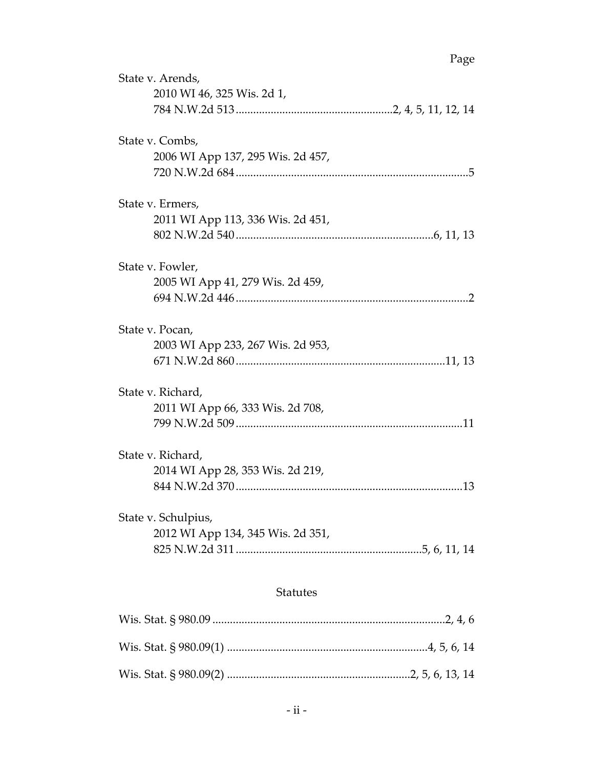| State v. Arends,                  |
|-----------------------------------|
| 2010 WI 46, 325 Wis. 2d 1,        |
|                                   |
| State v. Combs,                   |
| 2006 WI App 137, 295 Wis. 2d 457, |
|                                   |
| State v. Ermers,                  |
| 2011 WI App 113, 336 Wis. 2d 451, |
|                                   |
| State v. Fowler,                  |
| 2005 WI App 41, 279 Wis. 2d 459,  |
|                                   |
| State v. Pocan,                   |
| 2003 WI App 233, 267 Wis. 2d 953, |
|                                   |
| State v. Richard,                 |
| 2011 WI App 66, 333 Wis. 2d 708,  |
|                                   |
| State v. Richard,                 |
| 2014 WI App 28, 353 Wis. 2d 219,  |
|                                   |
| State v. Schulpius,               |
| 2012 WI App 134, 345 Wis. 2d 351, |
|                                   |
| <b>Statutes</b>                   |
|                                   |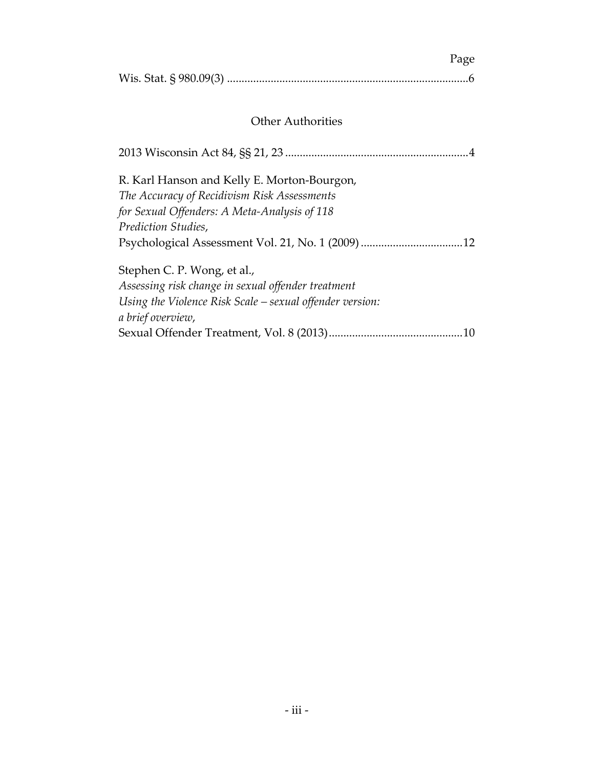| Page |
|------|
|      |

# Other Authorities

| R. Karl Hanson and Kelly E. Morton-Bourgon,                |
|------------------------------------------------------------|
| The Accuracy of Recidivism Risk Assessments                |
| for Sexual Offenders: A Meta-Analysis of 118               |
| Prediction Studies,                                        |
|                                                            |
| Stephen C. P. Wong, et al.,                                |
| Assessing risk change in sexual offender treatment         |
| Using the Violence Risk Scale $-$ sexual offender version: |
| a brief overview,                                          |
|                                                            |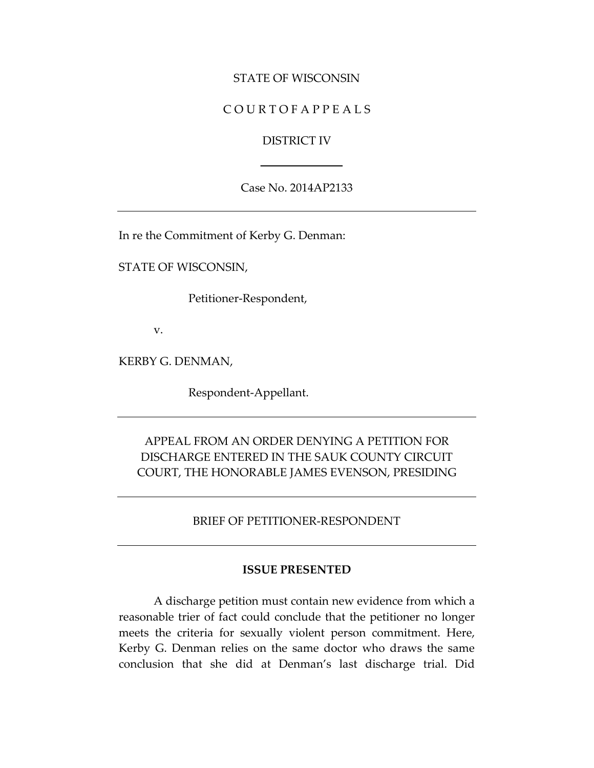#### STATE OF WISCONSIN

### C O U R T O F A P P E A L S

#### DISTRICT IV

Case No. 2014AP2133

In re the Commitment of Kerby G. Denman:

STATE OF WISCONSIN,

Petitioner-Respondent,

v.

KERBY G. DENMAN,

Respondent-Appellant.

# APPEAL FROM AN ORDER DENYING A PETITION FOR DISCHARGE ENTERED IN THE SAUK COUNTY CIRCUIT COURT, THE HONORABLE JAMES EVENSON, PRESIDING

BRIEF OF PETITIONER-RESPONDENT

#### **ISSUE PRESENTED**

A discharge petition must contain new evidence from which a reasonable trier of fact could conclude that the petitioner no longer meets the criteria for sexually violent person commitment. Here, Kerby G. Denman relies on the same doctor who draws the same conclusion that she did at Denman's last discharge trial. Did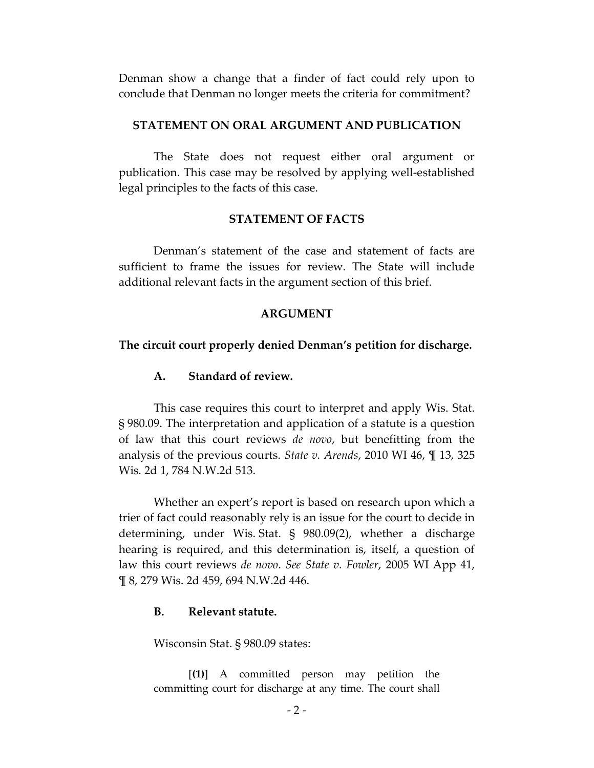Denman show a change that a finder of fact could rely upon to conclude that Denman no longer meets the criteria for commitment?

#### **STATEMENT ON ORAL ARGUMENT AND PUBLICATION**

The State does not request either oral argument or publication. This case may be resolved by applying well-established legal principles to the facts of this case.

#### **STATEMENT OF FACTS**

Denman's statement of the case and statement of facts are sufficient to frame the issues for review. The State will include additional relevant facts in the argument section of this brief.

#### **ARGUMENT**

#### **The circuit court properly denied Denman's petition for discharge.**

### **A. Standard of review.**

This case requires this court to interpret and apply Wis. Stat. § 980.09. The interpretation and application of a statute is a question of law that this court reviews *de novo*, but benefitting from the analysis of the previous courts. *State v. Arends*, 2010 WI 46, ¶ 13, 325 Wis. 2d 1, 784 N.W.2d 513.

Whether an expert's report is based on research upon which a trier of fact could reasonably rely is an issue for the court to decide in determining, under Wis. Stat. § 980.09(2), whether a discharge hearing is required, and this determination is, itself, a question of law this court reviews *de novo*. *See State v. Fowler*, 2005 WI App 41, ¶ 8, 279 Wis. 2d 459, 694 N.W.2d 446.

#### **B. Relevant statute.**

Wisconsin Stat. § 980.09 states:

[**(1)**] A committed person may petition the committing court for discharge at any time. The court shall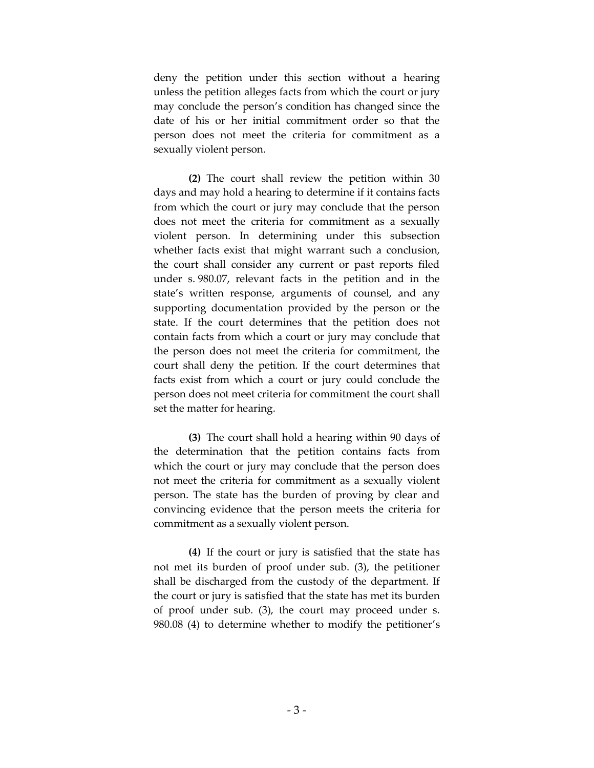deny the petition under this section without a hearing unless the petition alleges facts from which the court or jury may conclude the person's condition has changed since the date of his or her initial commitment order so that the person does not meet the criteria for commitment as a sexually violent person.

**(2)** The court shall review the petition within 30 days and may hold a hearing to determine if it contains facts from which the court or jury may conclude that the person does not meet the criteria for commitment as a sexually violent person. In determining under this subsection whether facts exist that might warrant such a conclusion, the court shall consider any current or past reports filed under s. 980.07, relevant facts in the petition and in the state's written response, arguments of counsel, and any supporting documentation provided by the person or the state. If the court determines that the petition does not contain facts from which a court or jury may conclude that the person does not meet the criteria for commitment, the court shall deny the petition. If the court determines that facts exist from which a court or jury could conclude the person does not meet criteria for commitment the court shall set the matter for hearing.

**(3)** The court shall hold a hearing within 90 days of the determination that the petition contains facts from which the court or jury may conclude that the person does not meet the criteria for commitment as a sexually violent person. The state has the burden of proving by clear and convincing evidence that the person meets the criteria for commitment as a sexually violent person.

**(4)** If the court or jury is satisfied that the state has not met its burden of proof under sub. (3), the petitioner shall be discharged from the custody of the department. If the court or jury is satisfied that the state has met its burden of proof under sub. (3), the court may proceed under s. 980.08 (4) to determine whether to modify the petitioner's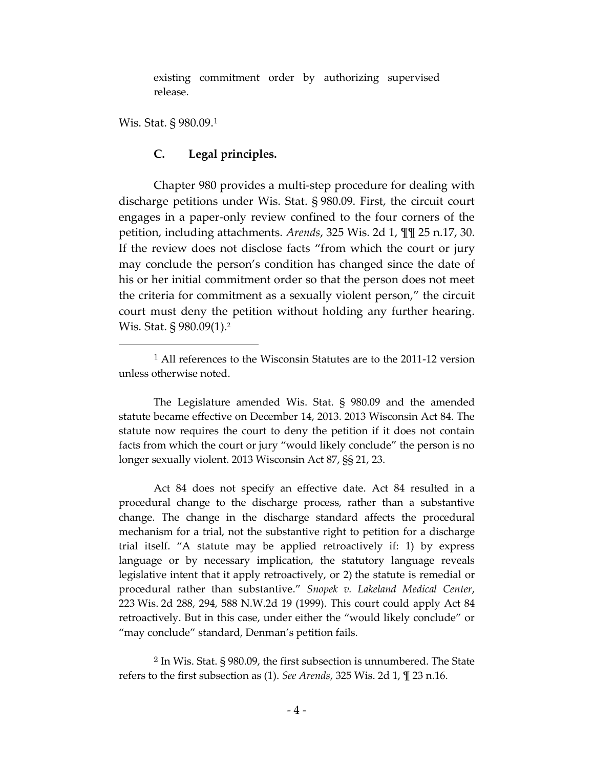existing commitment order by authorizing supervised release.

Wis. Stat. § 980.09.<sup>1</sup>

 $\overline{a}$ 

### **C. Legal principles.**

Chapter 980 provides a multi-step procedure for dealing with discharge petitions under Wis. Stat. § 980.09. First, the circuit court engages in a paper-only review confined to the four corners of the petition, including attachments. *Arends*, 325 Wis. 2d 1, ¶¶ 25 n.17, 30. If the review does not disclose facts "from which the court or jury may conclude the person's condition has changed since the date of his or her initial commitment order so that the person does not meet the criteria for commitment as a sexually violent person," the circuit court must deny the petition without holding any further hearing. Wis. Stat. § 980.09(1).<sup>2</sup>

Act 84 does not specify an effective date. Act 84 resulted in a procedural change to the discharge process, rather than a substantive change. The change in the discharge standard affects the procedural mechanism for a trial, not the substantive right to petition for a discharge trial itself. "A statute may be applied retroactively if: 1) by express language or by necessary implication, the statutory language reveals legislative intent that it apply retroactively, or 2) the statute is remedial or procedural rather than substantive." *Snopek v. Lakeland Medical Center*, 223 Wis. 2d 288, 294, 588 N.W.2d 19 (1999). This court could apply Act 84 retroactively. But in this case, under either the "would likely conclude" or "may conclude" standard, Denman's petition fails.

<sup>2</sup> In Wis. Stat. § 980.09, the first subsection is unnumbered. The State refers to the first subsection as (1). *See Arends*, 325 Wis. 2d 1, ¶ 23 n.16.

<sup>&</sup>lt;sup>1</sup> All references to the Wisconsin Statutes are to the 2011-12 version unless otherwise noted.

The Legislature amended Wis. Stat. § 980.09 and the amended statute became effective on December 14, 2013. 2013 Wisconsin Act 84. The statute now requires the court to deny the petition if it does not contain facts from which the court or jury "would likely conclude" the person is no longer sexually violent. 2013 Wisconsin Act 87, §§ 21, 23.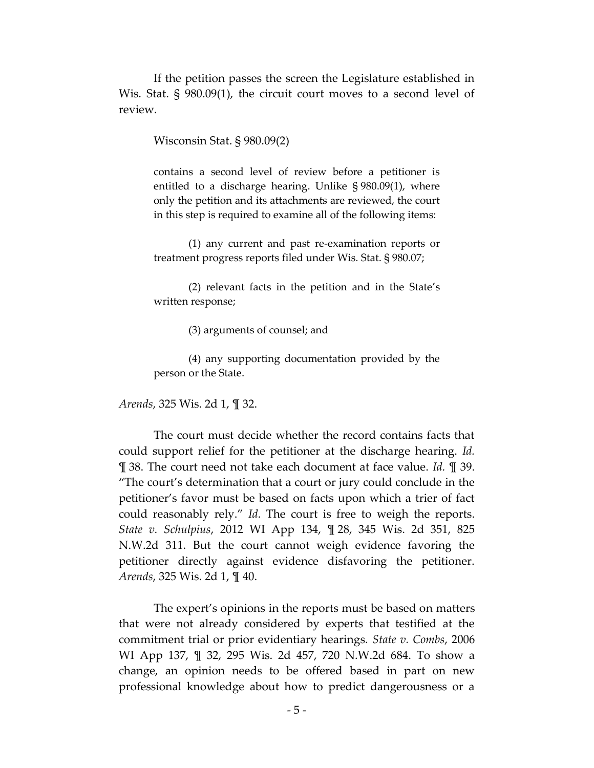If the petition passes the screen the Legislature established in Wis. Stat. § 980.09(1), the circuit court moves to a second level of review.

Wisconsin Stat. § 980.09(2)

contains a second level of review before a petitioner is entitled to a discharge hearing. Unlike § 980.09(1), where only the petition and its attachments are reviewed, the court in this step is required to examine all of the following items:

(1) any current and past re-examination reports or treatment progress reports filed under Wis. Stat. § 980.07;

(2) relevant facts in the petition and in the State's written response;

(3) arguments of counsel; and

(4) any supporting documentation provided by the person or the State.

*Arends*, 325 Wis. 2d 1, ¶ 32.

The court must decide whether the record contains facts that could support relief for the petitioner at the discharge hearing. *Id.* ¶ 38. The court need not take each document at face value. *Id.* ¶ 39. "The court's determination that a court or jury could conclude in the petitioner's favor must be based on facts upon which a trier of fact could reasonably rely." *Id.* The court is free to weigh the reports. *State v. Schulpius*, 2012 WI App 134, ¶ 28, 345 Wis. 2d 351, 825 N.W.2d 311. But the court cannot weigh evidence favoring the petitioner directly against evidence disfavoring the petitioner. *Arends*, 325 Wis. 2d 1, ¶ 40.

The expert's opinions in the reports must be based on matters that were not already considered by experts that testified at the commitment trial or prior evidentiary hearings. *State v. Combs*, 2006 WI App 137, ¶ 32, 295 Wis. 2d 457, 720 N.W.2d 684. To show a change, an opinion needs to be offered based in part on new professional knowledge about how to predict dangerousness or a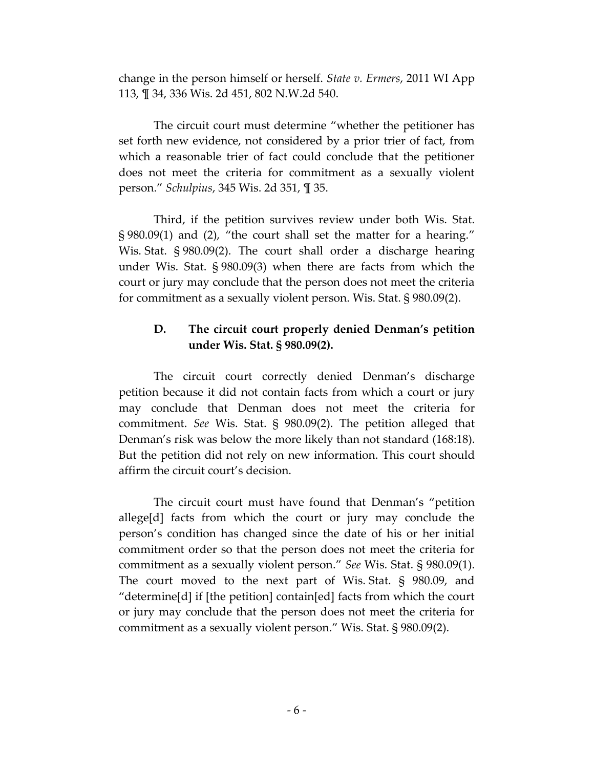change in the person himself or herself. *State v. Ermers*, 2011 WI App 113, ¶ 34, 336 Wis. 2d 451, 802 N.W.2d 540.

The circuit court must determine "whether the petitioner has set forth new evidence, not considered by a prior trier of fact, from which a reasonable trier of fact could conclude that the petitioner does not meet the criteria for commitment as a sexually violent person." *Schulpius*, 345 Wis. 2d 351, ¶ 35.

Third, if the petition survives review under both Wis. Stat. § 980.09(1) and (2), "the court shall set the matter for a hearing." Wis. Stat. § 980.09(2). The court shall order a discharge hearing under Wis. Stat. § 980.09(3) when there are facts from which the court or jury may conclude that the person does not meet the criteria for commitment as a sexually violent person. Wis. Stat. § 980.09(2).

### **D. The circuit court properly denied Denman's petition under Wis. Stat. § 980.09(2).**

The circuit court correctly denied Denman's discharge petition because it did not contain facts from which a court or jury may conclude that Denman does not meet the criteria for commitment. *See* Wis. Stat. § 980.09(2). The petition alleged that Denman's risk was below the more likely than not standard (168:18). But the petition did not rely on new information. This court should affirm the circuit court's decision.

The circuit court must have found that Denman's "petition allege[d] facts from which the court or jury may conclude the person's condition has changed since the date of his or her initial commitment order so that the person does not meet the criteria for commitment as a sexually violent person." *See* Wis. Stat. § 980.09(1). The court moved to the next part of Wis. Stat. § 980.09, and "determine[d] if [the petition] contain[ed] facts from which the court or jury may conclude that the person does not meet the criteria for commitment as a sexually violent person." Wis. Stat. § 980.09(2).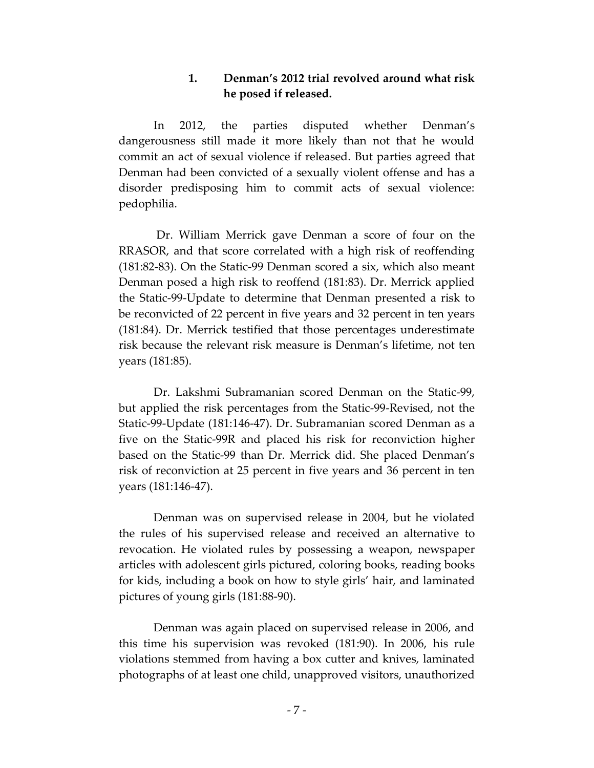### **1. Denman's 2012 trial revolved around what risk he posed if released.**

In 2012, the parties disputed whether Denman's dangerousness still made it more likely than not that he would commit an act of sexual violence if released. But parties agreed that Denman had been convicted of a sexually violent offense and has a disorder predisposing him to commit acts of sexual violence: pedophilia.

Dr. William Merrick gave Denman a score of four on the RRASOR, and that score correlated with a high risk of reoffending (181:82-83). On the Static-99 Denman scored a six, which also meant Denman posed a high risk to reoffend (181:83). Dr. Merrick applied the Static-99-Update to determine that Denman presented a risk to be reconvicted of 22 percent in five years and 32 percent in ten years (181:84). Dr. Merrick testified that those percentages underestimate risk because the relevant risk measure is Denman's lifetime, not ten years (181:85).

Dr. Lakshmi Subramanian scored Denman on the Static-99, but applied the risk percentages from the Static-99-Revised, not the Static-99-Update (181:146-47). Dr. Subramanian scored Denman as a five on the Static-99R and placed his risk for reconviction higher based on the Static-99 than Dr. Merrick did. She placed Denman's risk of reconviction at 25 percent in five years and 36 percent in ten years (181:146-47).

Denman was on supervised release in 2004, but he violated the rules of his supervised release and received an alternative to revocation. He violated rules by possessing a weapon, newspaper articles with adolescent girls pictured, coloring books, reading books for kids, including a book on how to style girls' hair, and laminated pictures of young girls (181:88-90).

Denman was again placed on supervised release in 2006, and this time his supervision was revoked (181:90). In 2006, his rule violations stemmed from having a box cutter and knives, laminated photographs of at least one child, unapproved visitors, unauthorized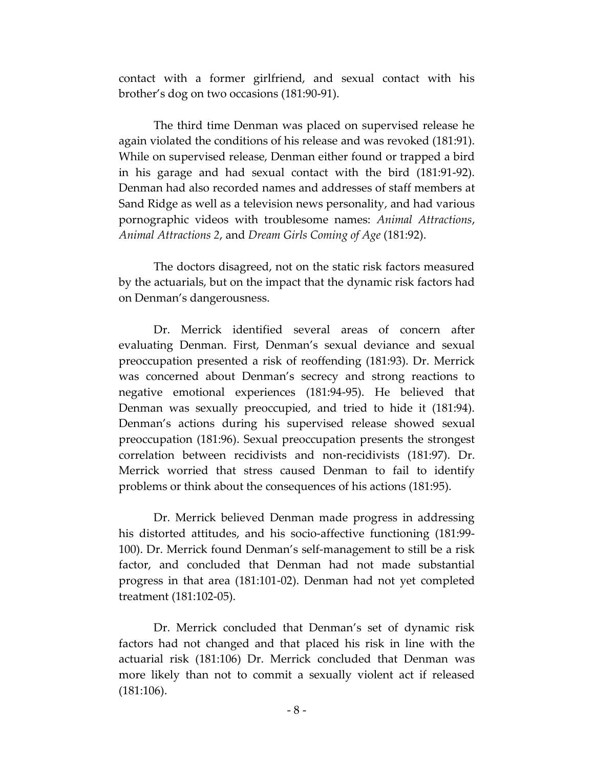contact with a former girlfriend, and sexual contact with his brother's dog on two occasions (181:90-91).

The third time Denman was placed on supervised release he again violated the conditions of his release and was revoked (181:91). While on supervised release, Denman either found or trapped a bird in his garage and had sexual contact with the bird (181:91-92). Denman had also recorded names and addresses of staff members at Sand Ridge as well as a television news personality, and had various pornographic videos with troublesome names: *Animal Attractions*, *Animal Attractions 2*, and *Dream Girls Coming of Age* (181:92).

The doctors disagreed, not on the static risk factors measured by the actuarials, but on the impact that the dynamic risk factors had on Denman's dangerousness.

Dr. Merrick identified several areas of concern after evaluating Denman. First, Denman's sexual deviance and sexual preoccupation presented a risk of reoffending (181:93). Dr. Merrick was concerned about Denman's secrecy and strong reactions to negative emotional experiences (181:94-95). He believed that Denman was sexually preoccupied, and tried to hide it (181:94). Denman's actions during his supervised release showed sexual preoccupation (181:96). Sexual preoccupation presents the strongest correlation between recidivists and non-recidivists (181:97). Dr. Merrick worried that stress caused Denman to fail to identify problems or think about the consequences of his actions (181:95).

Dr. Merrick believed Denman made progress in addressing his distorted attitudes, and his socio-affective functioning (181:99- 100). Dr. Merrick found Denman's self-management to still be a risk factor, and concluded that Denman had not made substantial progress in that area (181:101-02). Denman had not yet completed treatment (181:102-05).

Dr. Merrick concluded that Denman's set of dynamic risk factors had not changed and that placed his risk in line with the actuarial risk (181:106) Dr. Merrick concluded that Denman was more likely than not to commit a sexually violent act if released (181:106).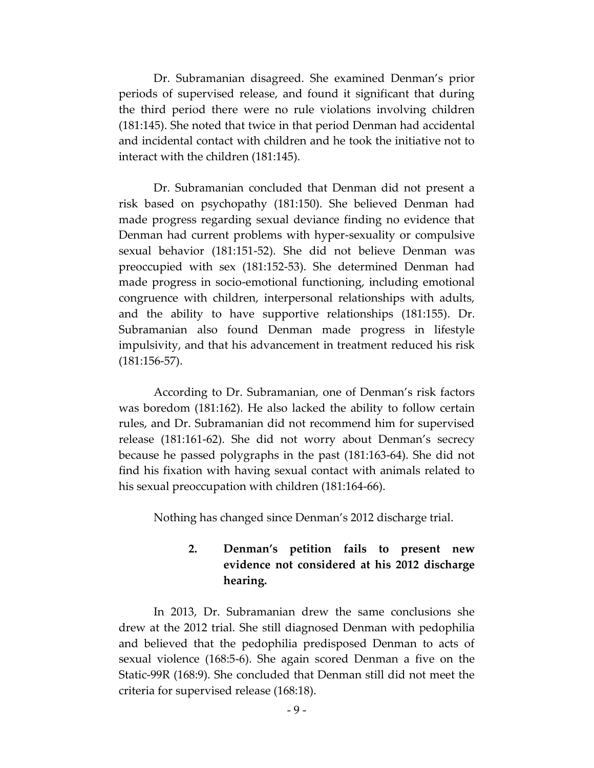Dr. Subramanian disagreed. She examined Denman's prior periods of supervised release, and found it significant that during the third period there were no rule violations involving children (181:145). She noted that twice in that period Denman had accidental and incidental contact with children and he took the initiative not to interact with the children (181:145).

Dr. Subramanian concluded that Denman did not present a risk based on psychopathy (181:150). She believed Denman had made progress regarding sexual deviance finding no evidence that Denman had current problems with hyper-sexuality or compulsive sexual behavior (181:151-52). She did not believe Denman was preoccupied with sex (181:152-53). She determined Denman had made progress in socio-emotional functioning, including emotional congruence with children, interpersonal relationships with adults, and the ability to have supportive relationships (181:155). Dr. Subramanian also found Denman made progress in lifestyle impulsivity, and that his advancement in treatment reduced his risk (181:156-57).

According to Dr. Subramanian, one of Denman's risk factors was boredom (181:162). He also lacked the ability to follow certain rules, and Dr. Subramanian did not recommend him for supervised release (181:161-62). She did not worry about Denman's secrecy because he passed polygraphs in the past (181:163-64). She did not find his fixation with having sexual contact with animals related to his sexual preoccupation with children (181:164-66).

Nothing has changed since Denman's 2012 discharge trial.

# **2. Denman's petition fails to present new evidence not considered at his 2012 discharge hearing.**

In 2013, Dr. Subramanian drew the same conclusions she drew at the 2012 trial. She still diagnosed Denman with pedophilia and believed that the pedophilia predisposed Denman to acts of sexual violence (168:5-6). She again scored Denman a five on the Static-99R (168:9). She concluded that Denman still did not meet the criteria for supervised release (168:18).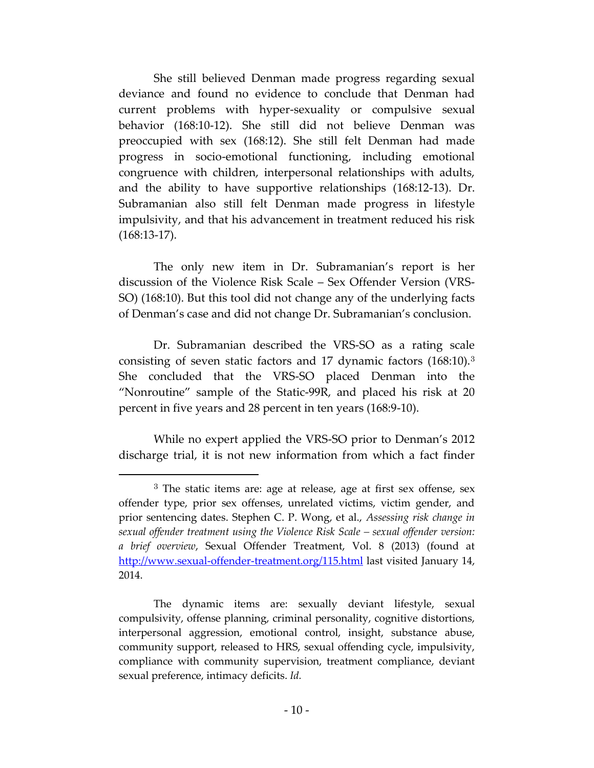She still believed Denman made progress regarding sexual deviance and found no evidence to conclude that Denman had current problems with hyper-sexuality or compulsive sexual behavior (168:10-12). She still did not believe Denman was preoccupied with sex (168:12). She still felt Denman had made progress in socio-emotional functioning, including emotional congruence with children, interpersonal relationships with adults, and the ability to have supportive relationships (168:12-13). Dr. Subramanian also still felt Denman made progress in lifestyle impulsivity, and that his advancement in treatment reduced his risk (168:13-17).

The only new item in Dr. Subramanian's report is her discussion of the Violence Risk Scale – Sex Offender Version (VRS-SO) (168:10). But this tool did not change any of the underlying facts of Denman's case and did not change Dr. Subramanian's conclusion.

Dr. Subramanian described the VRS-SO as a rating scale consisting of seven static factors and 17 dynamic factors (168:10).<sup>3</sup> She concluded that the VRS-SO placed Denman into the "Nonroutine" sample of the Static-99R, and placed his risk at 20 percent in five years and 28 percent in ten years (168:9-10).

While no expert applied the VRS-SO prior to Denman's 2012 discharge trial, it is not new information from which a fact finder

 $\overline{a}$ 

<sup>&</sup>lt;sup>3</sup> The static items are: age at release, age at first sex offense, sex offender type, prior sex offenses, unrelated victims, victim gender, and prior sentencing dates. Stephen C. P. Wong, et al., *Assessing risk change in sexual offender treatment using the Violence Risk Scale – sexual offender version: a brief overview*, Sexual Offender Treatment, Vol. 8 (2013) (found at <http://www.sexual-offender-treatment.org/115.html> last visited January 14, 2014.

The dynamic items are: sexually deviant lifestyle, sexual compulsivity, offense planning, criminal personality, cognitive distortions, interpersonal aggression, emotional control, insight, substance abuse, community support, released to HRS, sexual offending cycle, impulsivity, compliance with community supervision, treatment compliance, deviant sexual preference, intimacy deficits. *Id.*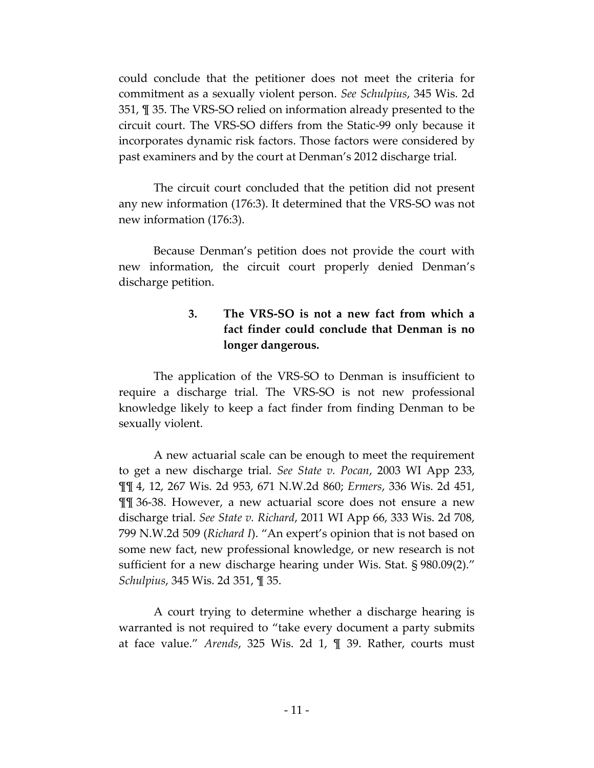could conclude that the petitioner does not meet the criteria for commitment as a sexually violent person. *See Schulpius*, 345 Wis. 2d 351, ¶ 35. The VRS-SO relied on information already presented to the circuit court. The VRS-SO differs from the Static-99 only because it incorporates dynamic risk factors. Those factors were considered by past examiners and by the court at Denman's 2012 discharge trial.

The circuit court concluded that the petition did not present any new information (176:3). It determined that the VRS-SO was not new information (176:3).

Because Denman's petition does not provide the court with new information, the circuit court properly denied Denman's discharge petition.

# **3. The VRS-SO is not a new fact from which a fact finder could conclude that Denman is no longer dangerous.**

The application of the VRS-SO to Denman is insufficient to require a discharge trial. The VRS-SO is not new professional knowledge likely to keep a fact finder from finding Denman to be sexually violent.

A new actuarial scale can be enough to meet the requirement to get a new discharge trial. *See State v. Pocan*, 2003 WI App 233, ¶¶ 4, 12, 267 Wis. 2d 953, 671 N.W.2d 860; *Ermers*, 336 Wis. 2d 451, ¶¶ 36-38. However, a new actuarial score does not ensure a new discharge trial. *See State v. Richard*, 2011 WI App 66, 333 Wis. 2d 708, 799 N.W.2d 509 (*Richard I*). "An expert's opinion that is not based on some new fact, new professional knowledge, or new research is not sufficient for a new discharge hearing under Wis. Stat. § 980.09(2)." *Schulpius*, 345 Wis. 2d 351, ¶ 35.

A court trying to determine whether a discharge hearing is warranted is not required to "take every document a party submits at face value." *Arends*, 325 Wis. 2d 1, ¶ 39. Rather, courts must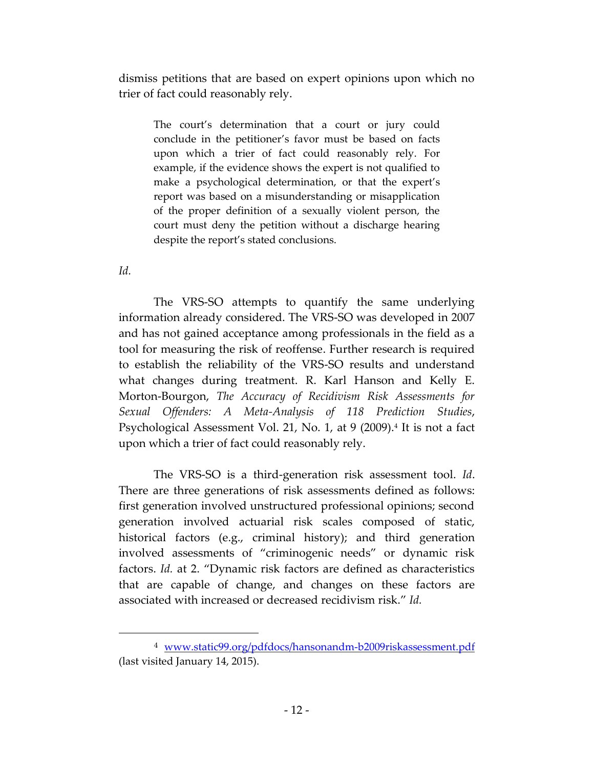dismiss petitions that are based on expert opinions upon which no trier of fact could reasonably rely.

The court's determination that a court or jury could conclude in the petitioner's favor must be based on facts upon which a trier of fact could reasonably rely. For example, if the evidence shows the expert is not qualified to make a psychological determination, or that the expert's report was based on a misunderstanding or misapplication of the proper definition of a sexually violent person, the court must deny the petition without a discharge hearing despite the report's stated conclusions.

*Id.*

 $\overline{a}$ 

The VRS-SO attempts to quantify the same underlying information already considered. The VRS-SO was developed in 2007 and has not gained acceptance among professionals in the field as a tool for measuring the risk of reoffense. Further research is required to establish the reliability of the VRS-SO results and understand what changes during treatment. R. Karl Hanson and Kelly E. Morton-Bourgon, *The Accuracy of Recidivism Risk Assessments for Sexual Offenders: A Meta-Analysis of 118 Prediction Studies*, Psychological Assessment Vol. 21, No. 1, at 9 (2009).<del>ª</del> It is not a fact upon which a trier of fact could reasonably rely.

The VRS-SO is a third-generation risk assessment tool. *Id*. There are three generations of risk assessments defined as follows: first generation involved unstructured professional opinions; second generation involved actuarial risk scales composed of static, historical factors (e.g., criminal history); and third generation involved assessments of "criminogenic needs" or dynamic risk factors. *Id.* at 2. "Dynamic risk factors are defined as characteristics that are capable of change, and changes on these factors are associated with increased or decreased recidivism risk." *Id.*

<sup>4</sup> [www.static99.org/pdfdocs/hansonandm-b2009riskassessment.pdf](http://www.static99.org/pdfdocs/hansonandm-b2009riskassessment.pdf)  (last visited January 14, 2015).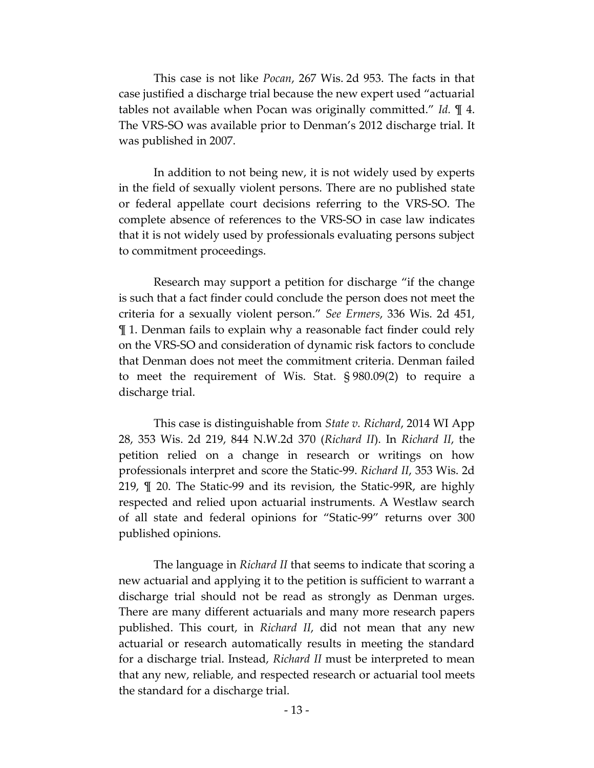This case is not like *Pocan*, 267 Wis. 2d 953. The facts in that case justified a discharge trial because the new expert used "actuarial tables not available when Pocan was originally committed." *Id.* ¶ 4. The VRS-SO was available prior to Denman's 2012 discharge trial. It was published in 2007.

In addition to not being new, it is not widely used by experts in the field of sexually violent persons. There are no published state or federal appellate court decisions referring to the VRS-SO. The complete absence of references to the VRS-SO in case law indicates that it is not widely used by professionals evaluating persons subject to commitment proceedings.

Research may support a petition for discharge "if the change is such that a fact finder could conclude the person does not meet the criteria for a sexually violent person." *See Ermers*, 336 Wis. 2d 451, ¶ 1. Denman fails to explain why a reasonable fact finder could rely on the VRS-SO and consideration of dynamic risk factors to conclude that Denman does not meet the commitment criteria. Denman failed to meet the requirement of Wis. Stat. § 980.09(2) to require a discharge trial.

This case is distinguishable from *State v. Richard*, 2014 WI App 28, 353 Wis. 2d 219, 844 N.W.2d 370 (*Richard II*). In *Richard II*, the petition relied on a change in research or writings on how professionals interpret and score the Static-99. *Richard II*, 353 Wis. 2d 219, ¶ 20. The Static-99 and its revision, the Static-99R, are highly respected and relied upon actuarial instruments. A Westlaw search of all state and federal opinions for "Static-99" returns over 300 published opinions.

The language in *Richard II* that seems to indicate that scoring a new actuarial and applying it to the petition is sufficient to warrant a discharge trial should not be read as strongly as Denman urges. There are many different actuarials and many more research papers published. This court, in *Richard II*, did not mean that any new actuarial or research automatically results in meeting the standard for a discharge trial. Instead, *Richard II* must be interpreted to mean that any new, reliable, and respected research or actuarial tool meets the standard for a discharge trial.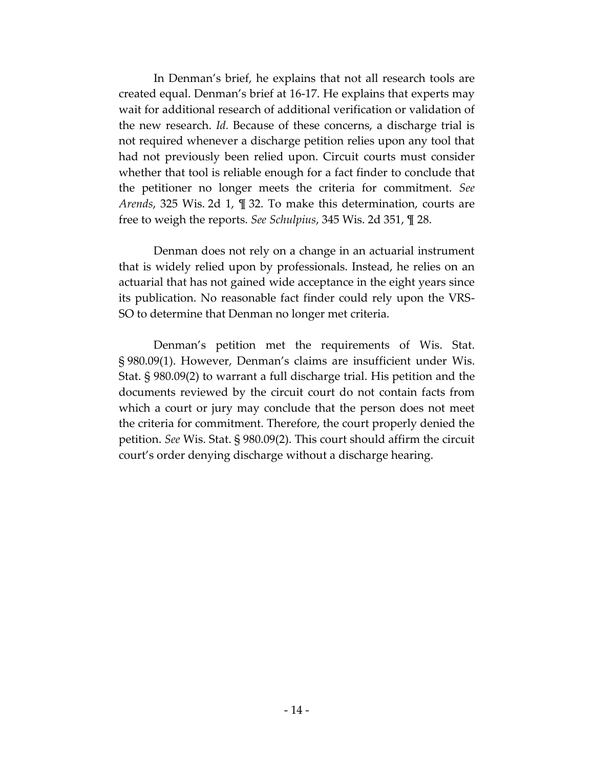In Denman's brief, he explains that not all research tools are created equal. Denman's brief at 16-17. He explains that experts may wait for additional research of additional verification or validation of the new research. *Id.* Because of these concerns, a discharge trial is not required whenever a discharge petition relies upon any tool that had not previously been relied upon. Circuit courts must consider whether that tool is reliable enough for a fact finder to conclude that the petitioner no longer meets the criteria for commitment. *See Arends*, 325 Wis. 2d 1, ¶ 32. To make this determination, courts are free to weigh the reports. *See Schulpius*, 345 Wis. 2d 351, ¶ 28.

Denman does not rely on a change in an actuarial instrument that is widely relied upon by professionals. Instead, he relies on an actuarial that has not gained wide acceptance in the eight years since its publication. No reasonable fact finder could rely upon the VRS-SO to determine that Denman no longer met criteria.

Denman's petition met the requirements of Wis. Stat. § 980.09(1). However, Denman's claims are insufficient under Wis. Stat. § 980.09(2) to warrant a full discharge trial. His petition and the documents reviewed by the circuit court do not contain facts from which a court or jury may conclude that the person does not meet the criteria for commitment. Therefore, the court properly denied the petition. *See* Wis. Stat. § 980.09(2). This court should affirm the circuit court's order denying discharge without a discharge hearing.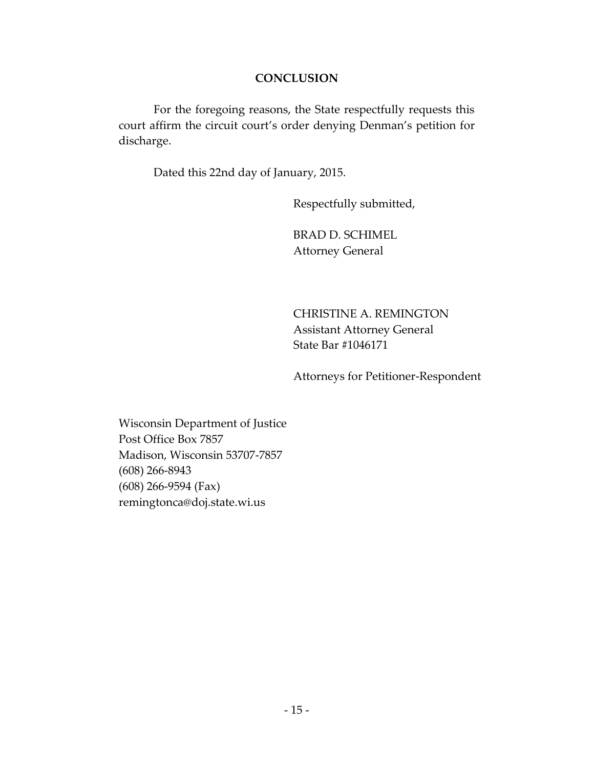### **CONCLUSION**

For the foregoing reasons, the State respectfully requests this court affirm the circuit court's order denying Denman's petition for discharge.

Dated this 22nd day of January, 2015.

Respectfully submitted,

BRAD D. SCHIMEL Attorney General

CHRISTINE A. REMINGTON Assistant Attorney General State Bar #1046171

Attorneys for Petitioner-Respondent

Wisconsin Department of Justice Post Office Box 7857 Madison, Wisconsin 53707-7857 (608) 266-8943 (608) 266-9594 (Fax) remingtonca@doj.state.wi.us